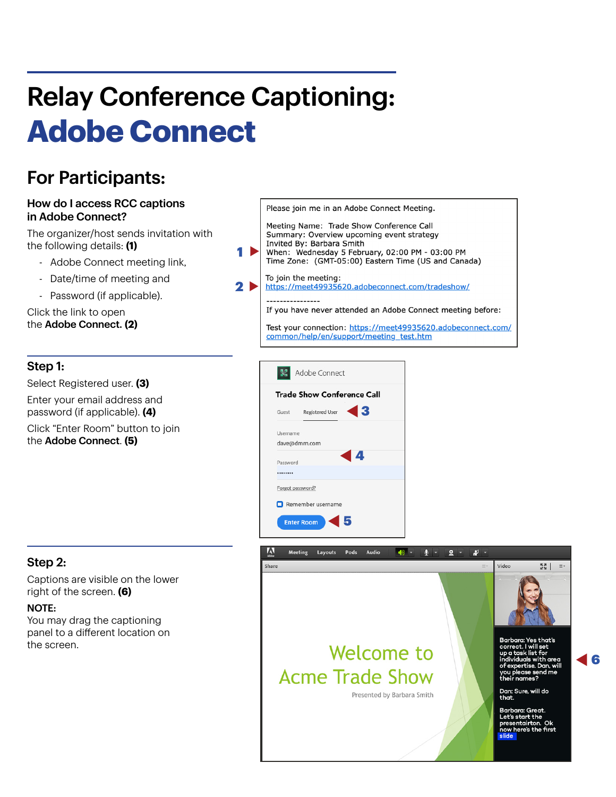# Relay Conference Captioning: **Adobe Connect**

## For Participants:

#### How do I access RCC captions in Adobe Connect?

The organizer/host sends invitation with the following details: **(1)**

- Adobe Connect meeting link,
- Date/time of meeting and
- Password (if applicable).

Click the link to open the Adobe Connect. **(2)**

#### Step 1:

Select Registered user. **(3)** Enter your email address and password (if applicable). **(4)**

Click "Enter Room" button to join the Adobe Connect. **(5)**

#### Please join me in an Adobe Connect Meeting.

Meeting Name: Trade Show Conference Call Summary: Overview upcoming event strategy Invited By: Barbara Smith When: Wednesday 5 February, 02:00 PM - 03:00 PM

1 D Time Zone: (GMT-05:00) Eastern Time (US and Canada)

To join the meeting: 2 D https://meet49935620.adobeconnect.com/tradeshow/

If you have never attended an Adobe Connect meeting before:

Test your connection: https://meet49935620.adobeconnect.com/ common/help/en/support/meeting\_test.htm





#### Step 2:

Captions are visible on the lower right of the screen. **(6)**

#### NOTE:

You may drag the captioning panel to a different location on the screen.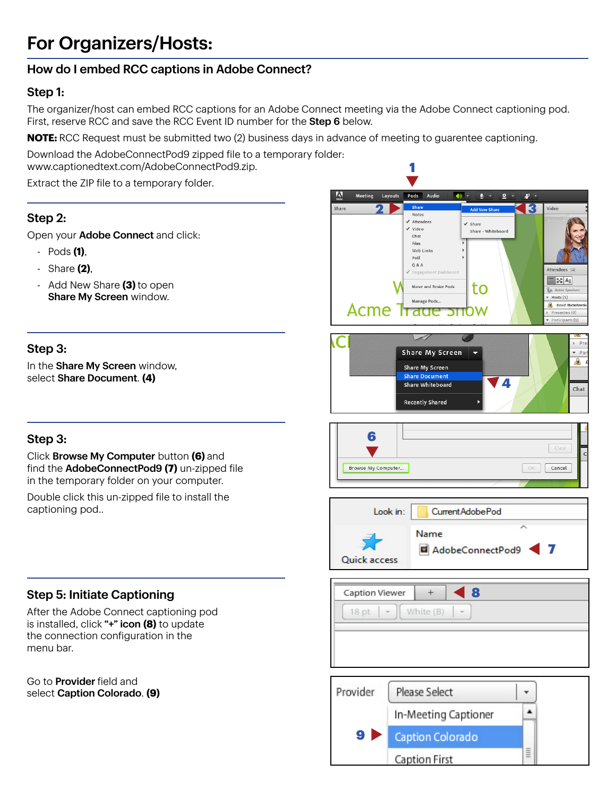## For Organizers/Hosts:

### How do I embed RCC captions in Adobe Connect?

#### Step 1:

The organizer/host can embed RCC captions for an Adobe Connect meeting via the Adobe Connect captioning pod. First, reserve RCC and save the RCC Event ID number for the Step 6 below.

**NOTE:** RCC Request must be submitted two (2) business days in advance of meeting to guarentee captioning.

Download the AdobeConnectPod9 zipped file to a temporary folder: www.captionedtext.com/AdobeConnectPod9.zip.

Extract the ZIP file to a temporary folder.

#### Step 2:

Open your Adobe Connect and click:

- Pods **(1)**,
- Share **(2)**,
- Add New Share **(3)** to open Share My Screen window.

#### Step 3:

In the Share My Screen window, select Share Document. **(4)**

#### Step 3:

Click Browse My Computer button **(6)** and find the AdobeConnectPod9 **(7)** un-zipped file in the temporary folder on your computer.

Double click this un-zipped file to install the captioning pod..

#### Step 5: Initiate Captioning

After the Adobe Connect captioning pod is installed, click "+" icon **(8)** to update the connection configuration in the menu bar.

Go to Provider field and select Caption Colorado. **(9)**